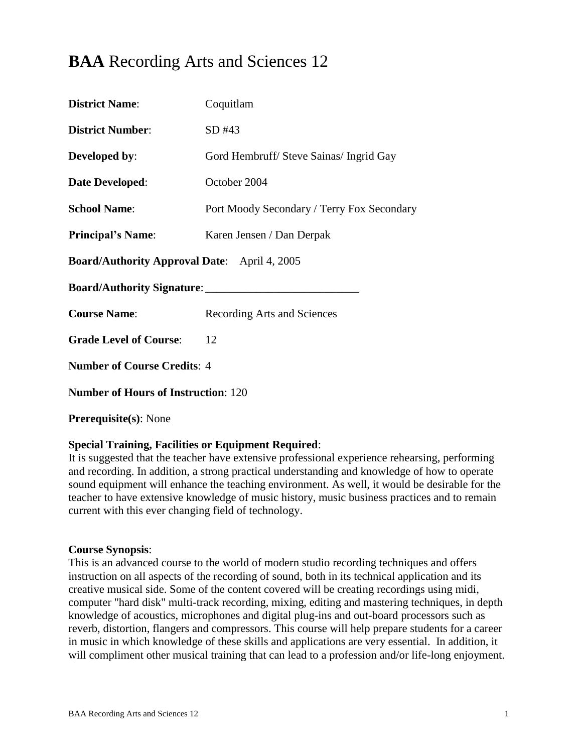# **BAA** Recording Arts and Sciences 12

| <b>District Name:</b>                               | Coquitlam                                  |  |
|-----------------------------------------------------|--------------------------------------------|--|
| <b>District Number:</b>                             | SD#43                                      |  |
| Developed by:                                       | Gord Hembruff/ Steve Sainas/ Ingrid Gay    |  |
| <b>Date Developed:</b>                              | October 2004                               |  |
| <b>School Name:</b>                                 | Port Moody Secondary / Terry Fox Secondary |  |
| <b>Principal's Name:</b>                            | Karen Jensen / Dan Derpak                  |  |
| <b>Board/Authority Approval Date:</b> April 4, 2005 |                                            |  |
|                                                     |                                            |  |
| <b>Course Name:</b>                                 | Recording Arts and Sciences                |  |
| <b>Grade Level of Course:</b>                       | 12                                         |  |
| <b>Number of Course Credits: 4</b>                  |                                            |  |
| <b>Number of Hours of Instruction: 120</b>          |                                            |  |
| <b>Prerequisite(s): None</b>                        |                                            |  |

### **Special Training, Facilities or Equipment Required**:

It is suggested that the teacher have extensive professional experience rehearsing, performing and recording. In addition, a strong practical understanding and knowledge of how to operate sound equipment will enhance the teaching environment. As well, it would be desirable for the teacher to have extensive knowledge of music history, music business practices and to remain current with this ever changing field of technology.

### **Course Synopsis**:

This is an advanced course to the world of modern studio recording techniques and offers instruction on all aspects of the recording of sound, both in its technical application and its creative musical side. Some of the content covered will be creating recordings using midi, computer "hard disk" multi-track recording, mixing, editing and mastering techniques, in depth knowledge of acoustics, microphones and digital plug-ins and out-board processors such as reverb, distortion, flangers and compressors. This course will help prepare students for a career in music in which knowledge of these skills and applications are very essential. In addition, it will compliment other musical training that can lead to a profession and/or life-long enjoyment.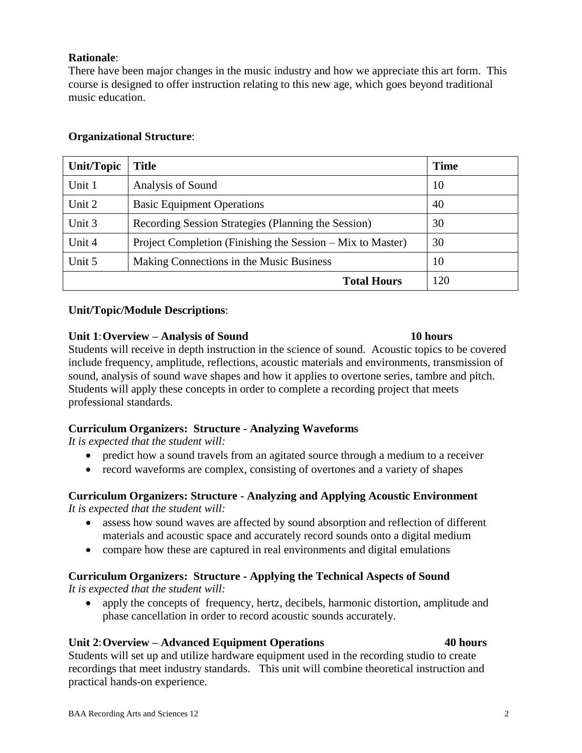# **Rationale**:

There have been major changes in the music industry and how we appreciate this art form. This course is designed to offer instruction relating to this new age, which goes beyond traditional music education.

# **Organizational Structure**:

| <b>Unit/Topic</b>  | <b>Title</b>                                               | <b>Time</b> |
|--------------------|------------------------------------------------------------|-------------|
| Unit 1             | Analysis of Sound                                          | 10          |
| Unit 2             | <b>Basic Equipment Operations</b>                          | 40          |
| Unit 3             | Recording Session Strategies (Planning the Session)        | 30          |
| Unit 4             | Project Completion (Finishing the Session – Mix to Master) | 30          |
| Unit 5             | Making Connections in the Music Business                   | 10          |
| <b>Total Hours</b> |                                                            | 120         |

### **Unit/Topic/Module Descriptions**:

### **Unit 1**:**Overview – Analysis of Sound 10 hours**

Students will receive in depth instruction in the science of sound. Acoustic topics to be covered include frequency, amplitude, reflections, acoustic materials and environments, transmission of sound, analysis of sound wave shapes and how it applies to overtone series, tambre and pitch. Students will apply these concepts in order to complete a recording project that meets professional standards.

### **Curriculum Organizers: Structure - Analyzing Waveforms**

*It is expected that the student will:*

- predict how a sound travels from an agitated source through a medium to a receiver
- record waveforms are complex, consisting of overtones and a variety of shapes

#### **Curriculum Organizers: Structure - Analyzing and Applying Acoustic Environment**  *It is expected that the student will:*

- assess how sound waves are affected by sound absorption and reflection of different materials and acoustic space and accurately record sounds onto a digital medium
- compare how these are captured in real environments and digital emulations

# **Curriculum Organizers: Structure - Applying the Technical Aspects of Sound**

*It is expected that the student will:*

• apply the concepts of frequency, hertz, decibels, harmonic distortion, amplitude and phase cancellation in order to record acoustic sounds accurately.

### **Unit 2**:**Overview – Advanced Equipment Operations 40 hours**

Students will set up and utilize hardware equipment used in the recording studio to create recordings that meet industry standards. This unit will combine theoretical instruction and practical hands-on experience.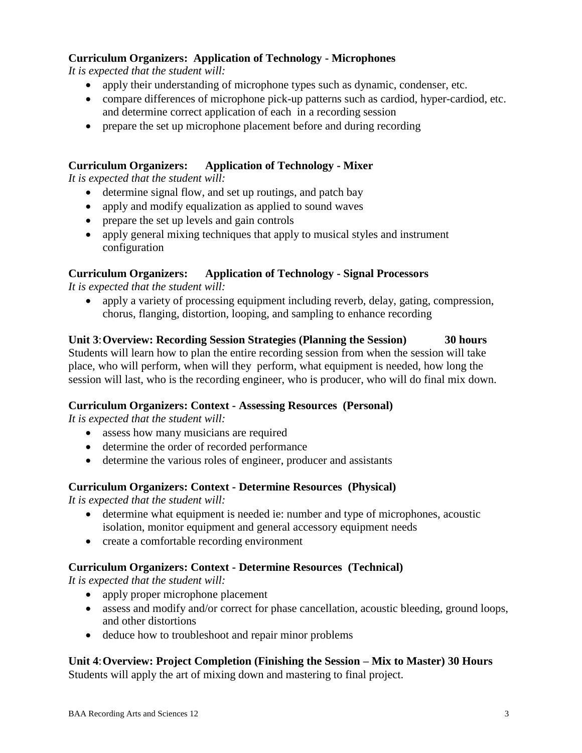# **Curriculum Organizers: Application of Technology - Microphones**

*It is expected that the student will:*

- apply their understanding of microphone types such as dynamic, condenser, etc.
- compare differences of microphone pick-up patterns such as cardiod, hyper-cardiod, etc. and determine correct application of each in a recording session
- prepare the set up microphone placement before and during recording

# **Curriculum Organizers: Application of Technology - Mixer**

*It is expected that the student will:*

- determine signal flow, and set up routings, and patch bay
- apply and modify equalization as applied to sound waves
- prepare the set up levels and gain controls
- apply general mixing techniques that apply to musical styles and instrument configuration

# **Curriculum Organizers: Application of Technology - Signal Processors**

*It is expected that the student will:*

 apply a variety of processing equipment including reverb, delay, gating, compression, chorus, flanging, distortion, looping, and sampling to enhance recording

**Unit 3**:**Overview: Recording Session Strategies (Planning the Session) 30 hours** Students will learn how to plan the entire recording session from when the session will take place, who will perform, when will they perform, what equipment is needed, how long the session will last, who is the recording engineer, who is producer, who will do final mix down.

# **Curriculum Organizers: Context - Assessing Resources (Personal)**

*It is expected that the student will:*

- assess how many musicians are required
- determine the order of recorded performance
- determine the various roles of engineer, producer and assistants

### **Curriculum Organizers: Context - Determine Resources (Physical)**

*It is expected that the student will:*

- determine what equipment is needed ie: number and type of microphones, acoustic isolation, monitor equipment and general accessory equipment needs
- create a comfortable recording environment

# **Curriculum Organizers: Context - Determine Resources (Technical)**

*It is expected that the student will:*

- apply proper microphone placement
- assess and modify and/or correct for phase cancellation, acoustic bleeding, ground loops, and other distortions
- deduce how to troubleshoot and repair minor problems

**Unit 4**:**Overview: Project Completion (Finishing the Session – Mix to Master) 30 Hours** Students will apply the art of mixing down and mastering to final project.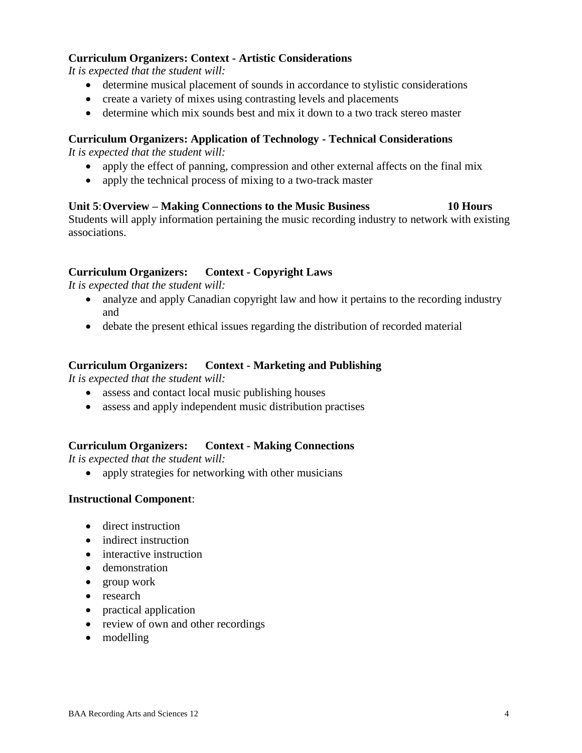# **Curriculum Organizers: Context - Artistic Considerations**

*It is expected that the student will:*

- determine musical placement of sounds in accordance to stylistic considerations
- create a variety of mixes using contrasting levels and placements
- determine which mix sounds best and mix it down to a two track stereo master

### **Curriculum Organizers: Application of Technology - Technical Considerations**

*It is expected that the student will:*

- apply the effect of panning, compression and other external affects on the final mix
- apply the technical process of mixing to a two-track master

### **Unit 5**:**Overview – Making Connections to the Music Business 10 Hours**

Students will apply information pertaining the music recording industry to network with existing associations.

# **Curriculum Organizers: Context - Copyright Laws**

*It is expected that the student will:*

- analyze and apply Canadian copyright law and how it pertains to the recording industry and
- debate the present ethical issues regarding the distribution of recorded material

#### **Curriculum Organizers: Context - Marketing and Publishing**

*It is expected that the student will:*

- assess and contact local music publishing houses
- assess and apply independent music distribution practises

### **Curriculum Organizers: Context - Making Connections**

*It is expected that the student will:*

• apply strategies for networking with other musicians

### **Instructional Component**:

- direct instruction
- indirect instruction
- interactive instruction
- demonstration
- group work
- research
- practical application
- review of own and other recordings
- modelling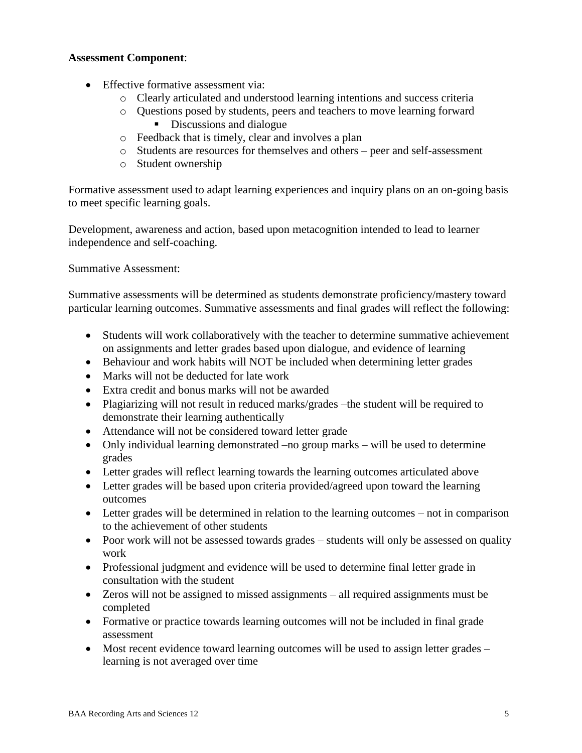# **Assessment Component**:

- Effective formative assessment via:
	- o Clearly articulated and understood learning intentions and success criteria
	- o Questions posed by students, peers and teachers to move learning forward Discussions and dialogue
	- o Feedback that is timely, clear and involves a plan
	- o Students are resources for themselves and others peer and self-assessment
	- o Student ownership

Formative assessment used to adapt learning experiences and inquiry plans on an on-going basis to meet specific learning goals.

Development, awareness and action, based upon metacognition intended to lead to learner independence and self-coaching.

Summative Assessment:

Summative assessments will be determined as students demonstrate proficiency/mastery toward particular learning outcomes. Summative assessments and final grades will reflect the following:

- Students will work collaboratively with the teacher to determine summative achievement on assignments and letter grades based upon dialogue, and evidence of learning
- Behaviour and work habits will NOT be included when determining letter grades
- Marks will not be deducted for late work
- Extra credit and bonus marks will not be awarded
- Plagiarizing will not result in reduced marks/grades –the student will be required to demonstrate their learning authentically
- Attendance will not be considered toward letter grade
- Only individual learning demonstrated –no group marks will be used to determine grades
- Letter grades will reflect learning towards the learning outcomes articulated above
- Letter grades will be based upon criteria provided/agreed upon toward the learning outcomes
- Letter grades will be determined in relation to the learning outcomes not in comparison to the achievement of other students
- Poor work will not be assessed towards grades students will only be assessed on quality work
- Professional judgment and evidence will be used to determine final letter grade in consultation with the student
- Zeros will not be assigned to missed assignments all required assignments must be completed
- Formative or practice towards learning outcomes will not be included in final grade assessment
- Most recent evidence toward learning outcomes will be used to assign letter grades learning is not averaged over time